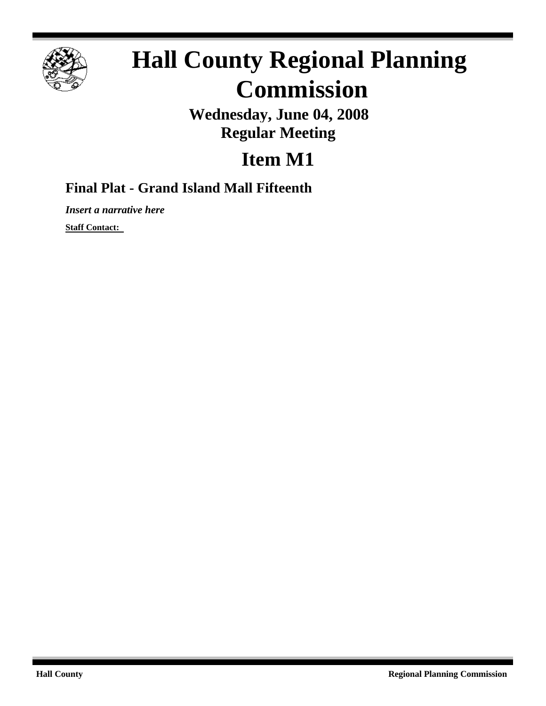

## **Hall County Regional Planning Commission**

**Wednesday, June 04, 2008 Regular Meeting**

## **Item M1**

## **Final Plat - Grand Island Mall Fifteenth**

*Insert a narrative here*

**Staff Contact:**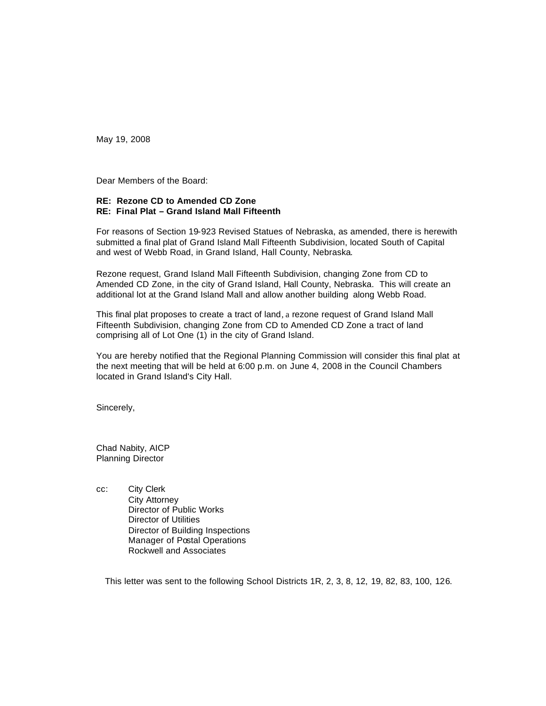May 19, 2008

Dear Members of the Board:

## **RE: Rezone CD to Amended CD Zone RE: Final Plat – Grand Island Mall Fifteenth**

For reasons of Section 19-923 Revised Statues of Nebraska, as amended, there is herewith submitted a final plat of Grand Island Mall Fifteenth Subdivision, located South of Capital and west of Webb Road, in Grand Island, Hall County, Nebraska.

Rezone request, Grand Island Mall Fifteenth Subdivision, changing Zone from CD to Amended CD Zone, in the city of Grand Island, Hall County, Nebraska. This will create an additional lot at the Grand Island Mall and allow another building along Webb Road.

This final plat proposes to create a tract of land, a rezone request of Grand Island Mall Fifteenth Subdivision, changing Zone from CD to Amended CD Zone a tract of land comprising all of Lot One (1) in the city of Grand Island.

You are hereby notified that the Regional Planning Commission will consider this final plat at the next meeting that will be held at 6:00 p.m. on June 4, 2008 in the Council Chambers located in Grand Island's City Hall.

Sincerely,

Chad Nabity, AICP Planning Director

cc: City Clerk City Attorney Director of Public Works Director of Utilities Director of Building Inspections Manager of Postal Operations Rockwell and Associates

This letter was sent to the following School Districts 1R, 2, 3, 8, 12, 19, 82, 83, 100, 126.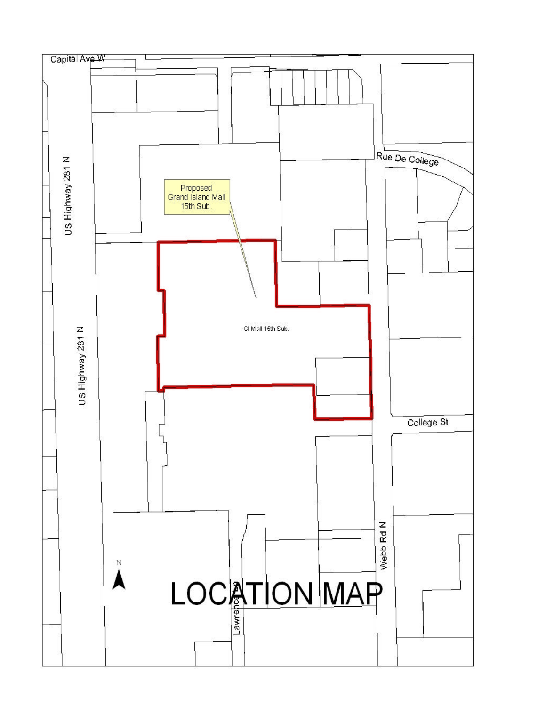